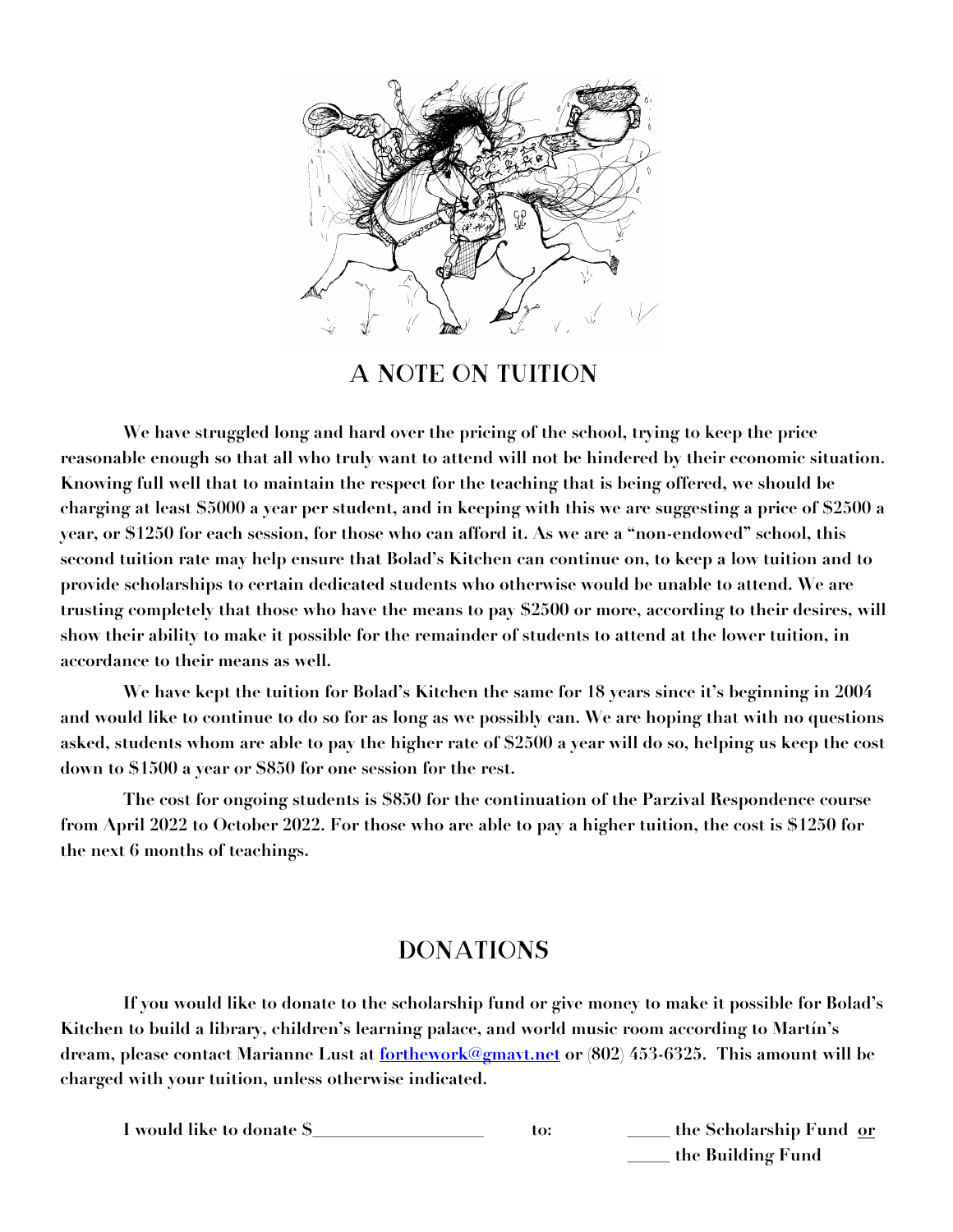

## A Note on Tuition

**We have struggled long and hard over the pricing of the school, trying to keep the price reasonable enough so that all who truly want to attend will not be hindered by their economic situation. Knowing full well that to maintain the respect for the teaching that is being offered, we should be charging at least \$5000 a year per student, and in keeping with this we are suggesting a price of \$2500 a year, or \$1250 for each session, for those who can afford it. As we are a "non-endowed" school, this second tuition rate may help ensure that Bolad's Kitchen can continue on, to keep a low tuition and to provide scholarships to certain dedicated students who otherwise would be unable to attend. We are trusting completely that those who have the means to pay \$2500 or more, according to their desires, will show their ability to make it possible for the remainder of students to attend at the lower tuition, in accordance to their means as well.**

**We have kept the tuition for Bolad's Kitchen the same for 18 years since it's beginning in 2004 and would like to continue to do so for as long as we possibly can. We are hoping that with no questions asked, students whom are able to pay the higher rate of \$2500 a year will do so, helping us keep the cost down to \$1500 a year or \$850 for one session for the rest.**

**The cost for ongoing students is \$850 for the continuation of the Parzival Respondence course from April 2022 to October 2022. For those who are able to pay a higher tuition, the cost is \$1250 for the next 6 months of teachings.**

# **DONATIONS**

**If you would like to donate to the scholarship fund or give money to make it possible for Bolad's Kitchen to build a library, children's learning palace, and world music room according to Martín's dream, please contact Marianne Lust at forthework@gmavt.net or (802) 453-6325. This amount will be charged with your tuition, unless otherwise indicated.**

**I would like to donate \$\_\_\_\_\_\_\_\_\_\_\_\_\_\_\_\_\_\_\_\_ to: \_\_\_\_\_ the Scholarship Fund or \_\_\_\_\_ the Building Fund**